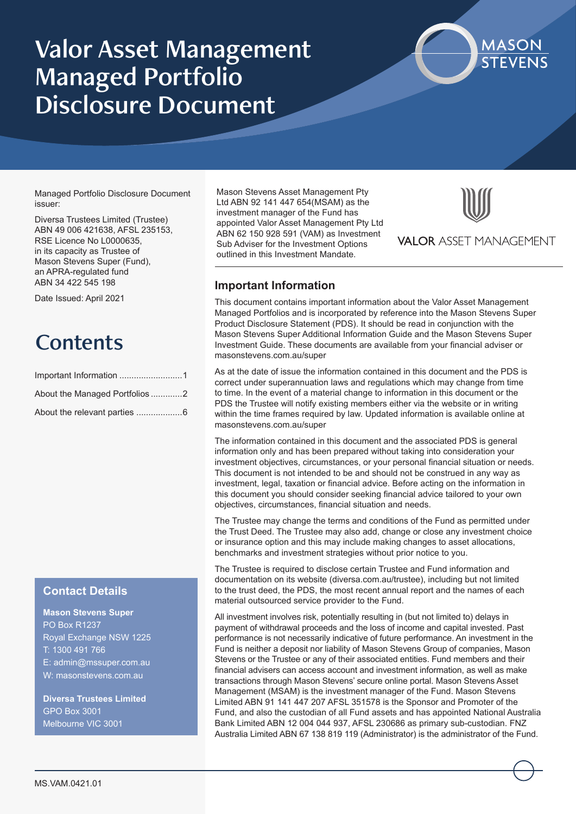## Valor Asset Management Managed Portfolio Disclosure Document



Managed Portfolio Disclosure Document issuer:

Diversa Trustees Limited (Trustee) ABN 49 006 421638, AFSL 235153, RSE Licence No L0000635, in its capacity as Trustee of Mason Stevens Super (Fund), an APRA-regulated fund ABN 34 422 545 198

Date Issued: April 2021

## **Contents**

| About the Managed Portfolios2 |
|-------------------------------|
|                               |

## **Contact Details**

## **Mason Stevens Super**

PO Box R1237 Royal Exchange NSW 1225 T: 1300 491 766 E: admin@mssuper.com.au W: masonstevens.com.au

**Diversa Trustees Limited** GPO Box 3001 Melbourne VIC 3001

Mason Stevens Asset Management Pty Ltd ABN 92 141 447 654(MSAM) as the investment manager of the Fund has appointed Valor Asset Management Pty Ltd ABN 62 150 928 591 (VAM) as Investment Sub Adviser for the Investment Options outlined in this Investment Mandate.



**VALOR ASSET MANAGEMENT** 

## **Important Information**

This document contains important information about the Valor Asset Management Managed Portfolios and is incorporated by reference into the Mason Stevens Super Product Disclosure Statement (PDS). It should be read in conjunction with the Mason Stevens Super Additional Information Guide and the Mason Stevens Super Investment Guide. These documents are available from your financial adviser or masonstevens.com.au/super

As at the date of issue the information contained in this document and the PDS is correct under superannuation laws and regulations which may change from time to time. In the event of a material change to information in this document or the PDS the Trustee will notify existing members either via the website or in writing within the time frames required by law. Updated information is available online at masonstevens.com.au/super

The information contained in this document and the associated PDS is general information only and has been prepared without taking into consideration your investment objectives, circumstances, or your personal financial situation or needs. This document is not intended to be and should not be construed in any way as investment, legal, taxation or financial advice. Before acting on the information in this document you should consider seeking financial advice tailored to your own objectives, circumstances, financial situation and needs.

The Trustee may change the terms and conditions of the Fund as permitted under the Trust Deed. The Trustee may also add, change or close any investment choice or insurance option and this may include making changes to asset allocations, benchmarks and investment strategies without prior notice to you.

The Trustee is required to disclose certain Trustee and Fund information and documentation on its website (diversa.com.au/trustee), including but not limited to the trust deed, the PDS, the most recent annual report and the names of each material outsourced service provider to the Fund.

All investment involves risk, potentially resulting in (but not limited to) delays in payment of withdrawal proceeds and the loss of income and capital invested. Past performance is not necessarily indicative of future performance. An investment in the Fund is neither a deposit nor liability of Mason Stevens Group of companies, Mason Stevens or the Trustee or any of their associated entities. Fund members and their financial advisers can access account and investment information, as well as make transactions through Mason Stevens' secure online portal. Mason Stevens Asset Management (MSAM) is the investment manager of the Fund. Mason Stevens Limited ABN 91 141 447 207 AFSL 351578 is the Sponsor and Promoter of the Fund, and also the custodian of all Fund assets and has appointed National Australia Bank Limited ABN 12 004 044 937, AFSL 230686 as primary sub-custodian. FNZ Australia Limited ABN 67 138 819 119 (Administrator) is the administrator of the Fund.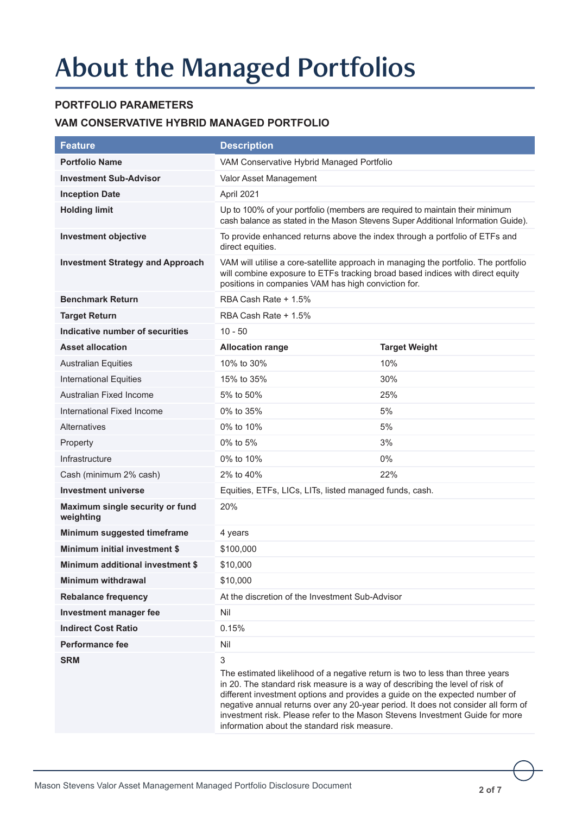# About the Managed Portfolios

## **PORTFOLIO PARAMETERS**

## **VAM CONSERVATIVE HYBRID MANAGED PORTFOLIO**

| <b>Feature</b>                               | <b>Description</b>                                                                                                                                                                                                                                                                                                                                                                                                                                                     |                      |  |
|----------------------------------------------|------------------------------------------------------------------------------------------------------------------------------------------------------------------------------------------------------------------------------------------------------------------------------------------------------------------------------------------------------------------------------------------------------------------------------------------------------------------------|----------------------|--|
| <b>Portfolio Name</b>                        | VAM Conservative Hybrid Managed Portfolio                                                                                                                                                                                                                                                                                                                                                                                                                              |                      |  |
| <b>Investment Sub-Advisor</b>                | Valor Asset Management                                                                                                                                                                                                                                                                                                                                                                                                                                                 |                      |  |
| <b>Inception Date</b>                        | April 2021                                                                                                                                                                                                                                                                                                                                                                                                                                                             |                      |  |
| <b>Holding limit</b>                         | Up to 100% of your portfolio (members are required to maintain their minimum<br>cash balance as stated in the Mason Stevens Super Additional Information Guide).                                                                                                                                                                                                                                                                                                       |                      |  |
| <b>Investment objective</b>                  | To provide enhanced returns above the index through a portfolio of ETFs and<br>direct equities.                                                                                                                                                                                                                                                                                                                                                                        |                      |  |
| <b>Investment Strategy and Approach</b>      | VAM will utilise a core-satellite approach in managing the portfolio. The portfolio<br>will combine exposure to ETFs tracking broad based indices with direct equity<br>positions in companies VAM has high conviction for.                                                                                                                                                                                                                                            |                      |  |
| <b>Benchmark Return</b>                      | RBA Cash Rate + 1.5%                                                                                                                                                                                                                                                                                                                                                                                                                                                   |                      |  |
| <b>Target Return</b>                         | RBA Cash Rate + 1.5%                                                                                                                                                                                                                                                                                                                                                                                                                                                   |                      |  |
| Indicative number of securities              | $10 - 50$                                                                                                                                                                                                                                                                                                                                                                                                                                                              |                      |  |
| <b>Asset allocation</b>                      | <b>Allocation range</b>                                                                                                                                                                                                                                                                                                                                                                                                                                                | <b>Target Weight</b> |  |
| <b>Australian Equities</b>                   | 10% to 30%                                                                                                                                                                                                                                                                                                                                                                                                                                                             | 10%                  |  |
| <b>International Equities</b>                | 15% to 35%                                                                                                                                                                                                                                                                                                                                                                                                                                                             | 30%                  |  |
| Australian Fixed Income                      | 5% to 50%                                                                                                                                                                                                                                                                                                                                                                                                                                                              | 25%                  |  |
| International Fixed Income                   | 0% to 35%                                                                                                                                                                                                                                                                                                                                                                                                                                                              | 5%                   |  |
| Alternatives                                 | 0% to 10%                                                                                                                                                                                                                                                                                                                                                                                                                                                              | 5%                   |  |
| Property                                     | 0% to 5%                                                                                                                                                                                                                                                                                                                                                                                                                                                               | 3%                   |  |
| Infrastructure                               | 0% to 10%                                                                                                                                                                                                                                                                                                                                                                                                                                                              | 0%                   |  |
| Cash (minimum 2% cash)                       | 2% to 40%                                                                                                                                                                                                                                                                                                                                                                                                                                                              | 22%                  |  |
| <b>Investment universe</b>                   | Equities, ETFs, LICs, LITs, listed managed funds, cash.                                                                                                                                                                                                                                                                                                                                                                                                                |                      |  |
| Maximum single security or fund<br>weighting | 20%                                                                                                                                                                                                                                                                                                                                                                                                                                                                    |                      |  |
| Minimum suggested timeframe                  | 4 years                                                                                                                                                                                                                                                                                                                                                                                                                                                                |                      |  |
| <b>Minimum initial investment \$</b>         | \$100,000                                                                                                                                                                                                                                                                                                                                                                                                                                                              |                      |  |
| Minimum additional investment \$             | \$10,000                                                                                                                                                                                                                                                                                                                                                                                                                                                               |                      |  |
| <b>Minimum withdrawal</b>                    | \$10,000                                                                                                                                                                                                                                                                                                                                                                                                                                                               |                      |  |
| <b>Rebalance frequency</b>                   | At the discretion of the Investment Sub-Advisor                                                                                                                                                                                                                                                                                                                                                                                                                        |                      |  |
| <b>Investment manager fee</b>                | Nil                                                                                                                                                                                                                                                                                                                                                                                                                                                                    |                      |  |
| <b>Indirect Cost Ratio</b>                   | 0.15%                                                                                                                                                                                                                                                                                                                                                                                                                                                                  |                      |  |
| <b>Performance fee</b>                       | Nil                                                                                                                                                                                                                                                                                                                                                                                                                                                                    |                      |  |
| <b>SRM</b>                                   | 3<br>The estimated likelihood of a negative return is two to less than three years<br>in 20. The standard risk measure is a way of describing the level of risk of<br>different investment options and provides a guide on the expected number of<br>negative annual returns over any 20-year period. It does not consider all form of<br>investment risk. Please refer to the Mason Stevens Investment Guide for more<br>information about the standard risk measure. |                      |  |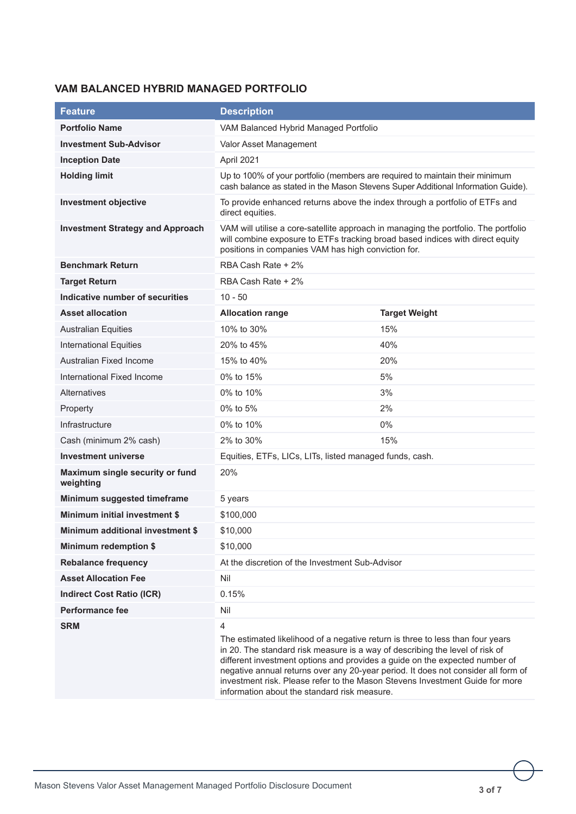## **VAM BALANCED HYBRID MANAGED PORTFOLIO**

| <b>Feature</b>                               | <b>Description</b>                                                                                                                                                                                                                                                                                                                                                                                                                   |                      |
|----------------------------------------------|--------------------------------------------------------------------------------------------------------------------------------------------------------------------------------------------------------------------------------------------------------------------------------------------------------------------------------------------------------------------------------------------------------------------------------------|----------------------|
| <b>Portfolio Name</b>                        | VAM Balanced Hybrid Managed Portfolio                                                                                                                                                                                                                                                                                                                                                                                                |                      |
| <b>Investment Sub-Advisor</b>                | Valor Asset Management                                                                                                                                                                                                                                                                                                                                                                                                               |                      |
| <b>Inception Date</b>                        | April 2021                                                                                                                                                                                                                                                                                                                                                                                                                           |                      |
| <b>Holding limit</b>                         | Up to 100% of your portfolio (members are required to maintain their minimum<br>cash balance as stated in the Mason Stevens Super Additional Information Guide).                                                                                                                                                                                                                                                                     |                      |
| <b>Investment objective</b>                  | To provide enhanced returns above the index through a portfolio of ETFs and<br>direct equities.                                                                                                                                                                                                                                                                                                                                      |                      |
| <b>Investment Strategy and Approach</b>      | VAM will utilise a core-satellite approach in managing the portfolio. The portfolio<br>will combine exposure to ETFs tracking broad based indices with direct equity<br>positions in companies VAM has high conviction for.                                                                                                                                                                                                          |                      |
| <b>Benchmark Return</b>                      | RBA Cash Rate + 2%                                                                                                                                                                                                                                                                                                                                                                                                                   |                      |
| <b>Target Return</b>                         | RBA Cash Rate + 2%                                                                                                                                                                                                                                                                                                                                                                                                                   |                      |
| Indicative number of securities              | $10 - 50$                                                                                                                                                                                                                                                                                                                                                                                                                            |                      |
| <b>Asset allocation</b>                      | <b>Allocation range</b>                                                                                                                                                                                                                                                                                                                                                                                                              | <b>Target Weight</b> |
| <b>Australian Equities</b>                   | 10% to 30%                                                                                                                                                                                                                                                                                                                                                                                                                           | 15%                  |
| <b>International Equities</b>                | 20% to 45%                                                                                                                                                                                                                                                                                                                                                                                                                           | 40%                  |
| Australian Fixed Income                      | 15% to 40%                                                                                                                                                                                                                                                                                                                                                                                                                           | 20%                  |
| International Fixed Income                   | 0% to 15%                                                                                                                                                                                                                                                                                                                                                                                                                            | 5%                   |
| <b>Alternatives</b>                          | 0% to 10%                                                                                                                                                                                                                                                                                                                                                                                                                            | 3%                   |
| Property                                     | 0% to 5%                                                                                                                                                                                                                                                                                                                                                                                                                             | 2%                   |
| Infrastructure                               | 0% to 10%                                                                                                                                                                                                                                                                                                                                                                                                                            | 0%                   |
| Cash (minimum 2% cash)                       | 2% to 30%                                                                                                                                                                                                                                                                                                                                                                                                                            | 15%                  |
| <b>Investment universe</b>                   | Equities, ETFs, LICs, LITs, listed managed funds, cash.                                                                                                                                                                                                                                                                                                                                                                              |                      |
| Maximum single security or fund<br>weighting | 20%                                                                                                                                                                                                                                                                                                                                                                                                                                  |                      |
| Minimum suggested timeframe                  | 5 years                                                                                                                                                                                                                                                                                                                                                                                                                              |                      |
| <b>Minimum initial investment \$</b>         | \$100,000                                                                                                                                                                                                                                                                                                                                                                                                                            |                      |
| Minimum additional investment \$             | \$10,000                                                                                                                                                                                                                                                                                                                                                                                                                             |                      |
| <b>Minimum redemption \$</b>                 | \$10,000                                                                                                                                                                                                                                                                                                                                                                                                                             |                      |
| <b>Rebalance frequency</b>                   | At the discretion of the Investment Sub-Advisor                                                                                                                                                                                                                                                                                                                                                                                      |                      |
| <b>Asset Allocation Fee</b>                  | Nil                                                                                                                                                                                                                                                                                                                                                                                                                                  |                      |
| <b>Indirect Cost Ratio (ICR)</b>             | 0.15%                                                                                                                                                                                                                                                                                                                                                                                                                                |                      |
| <b>Performance fee</b>                       | Nil                                                                                                                                                                                                                                                                                                                                                                                                                                  |                      |
| <b>SRM</b>                                   | $\overline{4}$<br>The estimated likelihood of a negative return is three to less than four years<br>in 20. The standard risk measure is a way of describing the level of risk of<br>different investment options and provides a guide on the expected number of<br>negative annual returns over any 20-year period. It does not consider all form of<br>investment risk. Please refer to the Mason Stevens Investment Guide for more |                      |

information about the standard risk measure.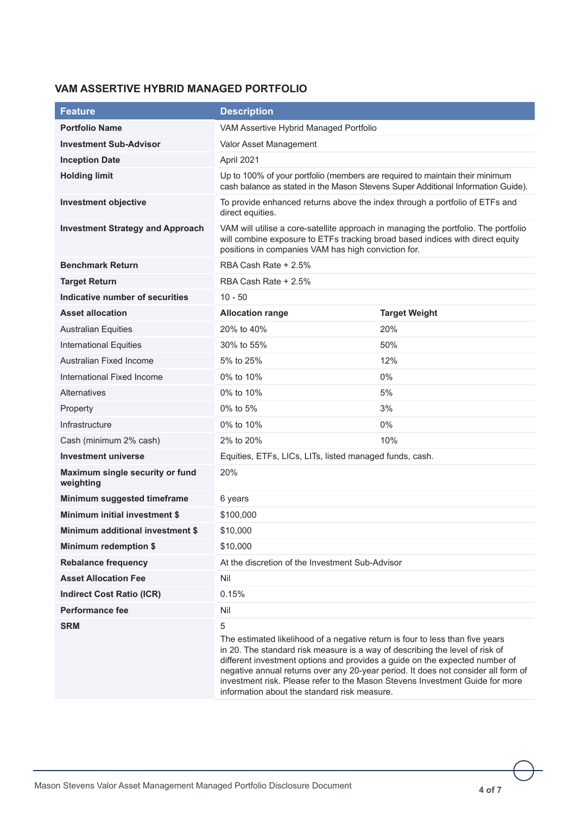## **VAM ASSERTIVE HYBRID MANAGED PORTFOLIO**

| <b>Feature</b>                               | <b>Description</b>                                                                                                                                                                                                                                                                                                                                                                                                     |                      |
|----------------------------------------------|------------------------------------------------------------------------------------------------------------------------------------------------------------------------------------------------------------------------------------------------------------------------------------------------------------------------------------------------------------------------------------------------------------------------|----------------------|
| <b>Portfolio Name</b>                        | VAM Assertive Hybrid Managed Portfolio                                                                                                                                                                                                                                                                                                                                                                                 |                      |
| <b>Investment Sub-Advisor</b>                | Valor Asset Management                                                                                                                                                                                                                                                                                                                                                                                                 |                      |
| <b>Inception Date</b>                        | April 2021                                                                                                                                                                                                                                                                                                                                                                                                             |                      |
| <b>Holding limit</b>                         | Up to 100% of your portfolio (members are required to maintain their minimum<br>cash balance as stated in the Mason Stevens Super Additional Information Guide).                                                                                                                                                                                                                                                       |                      |
| <b>Investment objective</b>                  | To provide enhanced returns above the index through a portfolio of ETFs and<br>direct equities.                                                                                                                                                                                                                                                                                                                        |                      |
| <b>Investment Strategy and Approach</b>      | VAM will utilise a core-satellite approach in managing the portfolio. The portfolio<br>will combine exposure to ETFs tracking broad based indices with direct equity<br>positions in companies VAM has high conviction for.                                                                                                                                                                                            |                      |
| <b>Benchmark Return</b>                      | RBA Cash Rate + 2.5%                                                                                                                                                                                                                                                                                                                                                                                                   |                      |
| <b>Target Return</b>                         | RBA Cash Rate + 2.5%                                                                                                                                                                                                                                                                                                                                                                                                   |                      |
| Indicative number of securities              | $10 - 50$                                                                                                                                                                                                                                                                                                                                                                                                              |                      |
| <b>Asset allocation</b>                      | <b>Allocation range</b>                                                                                                                                                                                                                                                                                                                                                                                                | <b>Target Weight</b> |
| <b>Australian Equities</b>                   | 20% to 40%                                                                                                                                                                                                                                                                                                                                                                                                             | 20%                  |
| <b>International Equities</b>                | 30% to 55%                                                                                                                                                                                                                                                                                                                                                                                                             | 50%                  |
| Australian Fixed Income                      | 5% to 25%                                                                                                                                                                                                                                                                                                                                                                                                              | 12%                  |
| International Fixed Income                   | 0% to 10%                                                                                                                                                                                                                                                                                                                                                                                                              | 0%                   |
| <b>Alternatives</b>                          | 0% to 10%                                                                                                                                                                                                                                                                                                                                                                                                              | 5%                   |
| Property                                     | 0% to 5%                                                                                                                                                                                                                                                                                                                                                                                                               | 3%                   |
| Infrastructure                               | 0% to 10%                                                                                                                                                                                                                                                                                                                                                                                                              | 0%                   |
| Cash (minimum 2% cash)                       | 2% to 20%                                                                                                                                                                                                                                                                                                                                                                                                              | 10%                  |
| <b>Investment universe</b>                   | Equities, ETFs, LICs, LITs, listed managed funds, cash.                                                                                                                                                                                                                                                                                                                                                                |                      |
| Maximum single security or fund<br>weighting | 20%                                                                                                                                                                                                                                                                                                                                                                                                                    |                      |
| Minimum suggested timeframe                  | 6 years                                                                                                                                                                                                                                                                                                                                                                                                                |                      |
| <b>Minimum initial investment \$</b>         | \$100,000                                                                                                                                                                                                                                                                                                                                                                                                              |                      |
| Minimum additional investment \$             | \$10,000                                                                                                                                                                                                                                                                                                                                                                                                               |                      |
| <b>Minimum redemption \$</b>                 | \$10,000                                                                                                                                                                                                                                                                                                                                                                                                               |                      |
| <b>Rebalance frequency</b>                   | At the discretion of the Investment Sub-Advisor                                                                                                                                                                                                                                                                                                                                                                        |                      |
| <b>Asset Allocation Fee</b>                  | Nil                                                                                                                                                                                                                                                                                                                                                                                                                    |                      |
| <b>Indirect Cost Ratio (ICR)</b>             | 0.15%                                                                                                                                                                                                                                                                                                                                                                                                                  |                      |
| <b>Performance fee</b>                       | Nil                                                                                                                                                                                                                                                                                                                                                                                                                    |                      |
| <b>SRM</b>                                   | 5<br>The estimated likelihood of a negative return is four to less than five years<br>in 20. The standard risk measure is a way of describing the level of risk of<br>different investment options and provides a guide on the expected number of<br>negative annual returns over any 20-year period. It does not consider all form of<br>investment risk. Please refer to the Mason Stevens Investment Guide for more |                      |

information about the standard risk measure.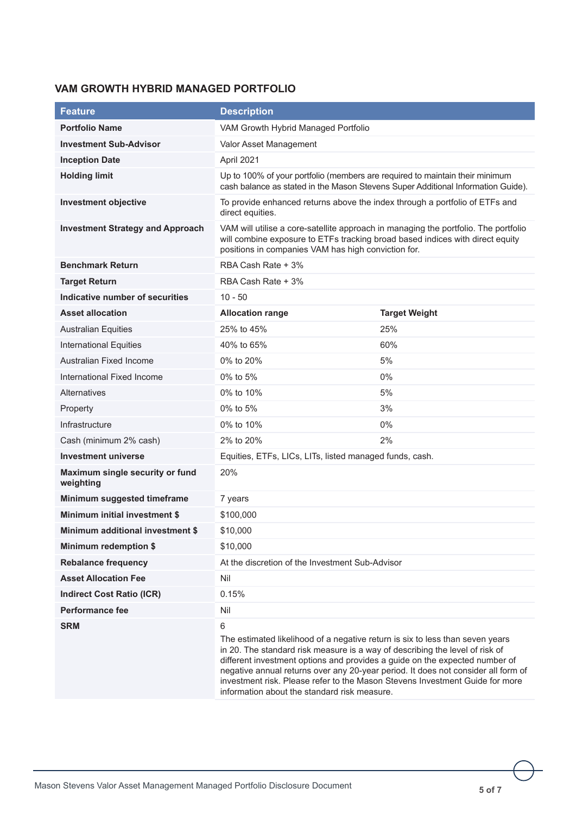## **VAM GROWTH HYBRID MANAGED PORTFOLIO**

| <b>Feature</b>                               | <b>Description</b>                                                                                                                                                                                                                                                                                                                                                                                                     |                      |
|----------------------------------------------|------------------------------------------------------------------------------------------------------------------------------------------------------------------------------------------------------------------------------------------------------------------------------------------------------------------------------------------------------------------------------------------------------------------------|----------------------|
| <b>Portfolio Name</b>                        | VAM Growth Hybrid Managed Portfolio                                                                                                                                                                                                                                                                                                                                                                                    |                      |
| <b>Investment Sub-Advisor</b>                | Valor Asset Management                                                                                                                                                                                                                                                                                                                                                                                                 |                      |
| <b>Inception Date</b>                        | April 2021                                                                                                                                                                                                                                                                                                                                                                                                             |                      |
| <b>Holding limit</b>                         | Up to 100% of your portfolio (members are required to maintain their minimum<br>cash balance as stated in the Mason Stevens Super Additional Information Guide).                                                                                                                                                                                                                                                       |                      |
| <b>Investment objective</b>                  | To provide enhanced returns above the index through a portfolio of ETFs and<br>direct equities.                                                                                                                                                                                                                                                                                                                        |                      |
| <b>Investment Strategy and Approach</b>      | VAM will utilise a core-satellite approach in managing the portfolio. The portfolio<br>will combine exposure to ETFs tracking broad based indices with direct equity<br>positions in companies VAM has high conviction for.                                                                                                                                                                                            |                      |
| <b>Benchmark Return</b>                      | RBA Cash Rate + 3%                                                                                                                                                                                                                                                                                                                                                                                                     |                      |
| <b>Target Return</b>                         | RBA Cash Rate + 3%                                                                                                                                                                                                                                                                                                                                                                                                     |                      |
| Indicative number of securities              | $10 - 50$                                                                                                                                                                                                                                                                                                                                                                                                              |                      |
| <b>Asset allocation</b>                      | <b>Allocation range</b>                                                                                                                                                                                                                                                                                                                                                                                                | <b>Target Weight</b> |
| <b>Australian Equities</b>                   | 25% to 45%                                                                                                                                                                                                                                                                                                                                                                                                             | 25%                  |
| <b>International Equities</b>                | 40% to 65%                                                                                                                                                                                                                                                                                                                                                                                                             | 60%                  |
| Australian Fixed Income                      | 0% to 20%                                                                                                                                                                                                                                                                                                                                                                                                              | 5%                   |
| International Fixed Income                   | 0% to 5%                                                                                                                                                                                                                                                                                                                                                                                                               | $0\%$                |
| <b>Alternatives</b>                          | 0% to 10%                                                                                                                                                                                                                                                                                                                                                                                                              | 5%                   |
| Property                                     | 0% to 5%                                                                                                                                                                                                                                                                                                                                                                                                               | 3%                   |
| Infrastructure                               | 0% to 10%                                                                                                                                                                                                                                                                                                                                                                                                              | $0\%$                |
| Cash (minimum 2% cash)                       | 2% to 20%                                                                                                                                                                                                                                                                                                                                                                                                              | 2%                   |
| <b>Investment universe</b>                   | Equities, ETFs, LICs, LITs, listed managed funds, cash.                                                                                                                                                                                                                                                                                                                                                                |                      |
| Maximum single security or fund<br>weighting | 20%                                                                                                                                                                                                                                                                                                                                                                                                                    |                      |
| Minimum suggested timeframe                  | 7 years                                                                                                                                                                                                                                                                                                                                                                                                                |                      |
| <b>Minimum initial investment \$</b>         | \$100,000                                                                                                                                                                                                                                                                                                                                                                                                              |                      |
| Minimum additional investment \$             | \$10,000                                                                                                                                                                                                                                                                                                                                                                                                               |                      |
| <b>Minimum redemption \$</b>                 | \$10,000                                                                                                                                                                                                                                                                                                                                                                                                               |                      |
| <b>Rebalance frequency</b>                   | At the discretion of the Investment Sub-Advisor                                                                                                                                                                                                                                                                                                                                                                        |                      |
| <b>Asset Allocation Fee</b>                  | Nil                                                                                                                                                                                                                                                                                                                                                                                                                    |                      |
| <b>Indirect Cost Ratio (ICR)</b>             | 0.15%                                                                                                                                                                                                                                                                                                                                                                                                                  |                      |
| <b>Performance fee</b>                       | Nil                                                                                                                                                                                                                                                                                                                                                                                                                    |                      |
| <b>SRM</b>                                   | 6<br>The estimated likelihood of a negative return is six to less than seven years<br>in 20. The standard risk measure is a way of describing the level of risk of<br>different investment options and provides a guide on the expected number of<br>negative annual returns over any 20-year period. It does not consider all form of<br>investment risk. Please refer to the Mason Stevens Investment Guide for more |                      |

information about the standard risk measure.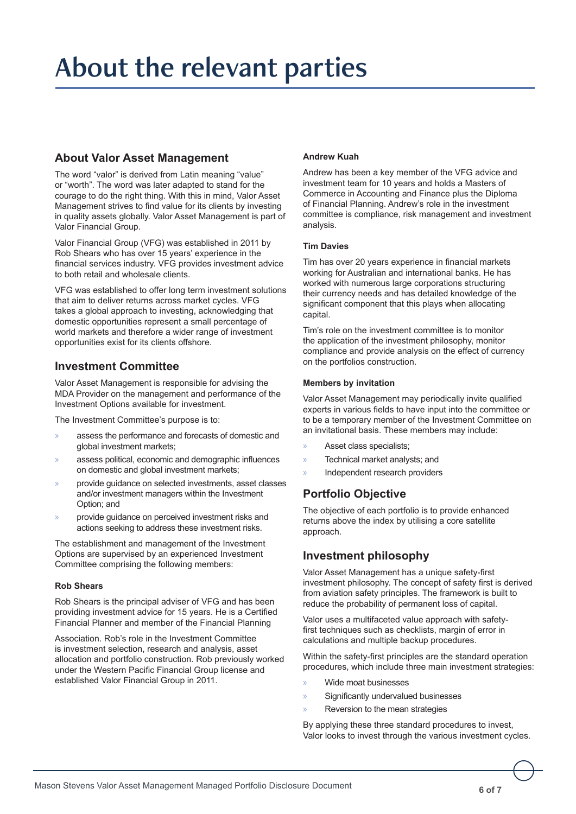# About the relevant parties

## **About Valor Asset Management**

The word "valor" is derived from Latin meaning "value" or "worth". The word was later adapted to stand for the courage to do the right thing. With this in mind, Valor Asset Management strives to find value for its clients by investing in quality assets globally. Valor Asset Management is part of Valor Financial Group.

Valor Financial Group (VFG) was established in 2011 by Rob Shears who has over 15 years' experience in the financial services industry. VFG provides investment advice to both retail and wholesale clients.

VFG was established to offer long term investment solutions that aim to deliver returns across market cycles. VFG takes a global approach to investing, acknowledging that domestic opportunities represent a small percentage of world markets and therefore a wider range of investment opportunities exist for its clients offshore.

## **Investment Committee**

Valor Asset Management is responsible for advising the MDA Provider on the management and performance of the Investment Options available for investment.

The Investment Committee's purpose is to:

- » assess the performance and forecasts of domestic and global investment markets;
- assess political, economic and demographic influences on domestic and global investment markets;
- » provide guidance on selected investments, asset classes and/or investment managers within the Investment Option; and
- » provide guidance on perceived investment risks and actions seeking to address these investment risks.

The establishment and management of the Investment Options are supervised by an experienced Investment Committee comprising the following members:

#### **Rob Shears**

Rob Shears is the principal adviser of VFG and has been providing investment advice for 15 years. He is a Certified Financial Planner and member of the Financial Planning

Association. Rob's role in the Investment Committee is investment selection, research and analysis, asset allocation and portfolio construction. Rob previously worked under the Western Pacific Financial Group license and established Valor Financial Group in 2011.

#### **Andrew Kuah**

Andrew has been a key member of the VFG advice and investment team for 10 years and holds a Masters of Commerce in Accounting and Finance plus the Diploma of Financial Planning. Andrew's role in the investment committee is compliance, risk management and investment analysis.

#### **Tim Davies**

Tim has over 20 years experience in financial markets working for Australian and international banks. He has worked with numerous large corporations structuring their currency needs and has detailed knowledge of the significant component that this plays when allocating capital.

Tim's role on the investment committee is to monitor the application of the investment philosophy, monitor compliance and provide analysis on the effect of currency on the portfolios construction.

#### **Members by invitation**

Valor Asset Management may periodically invite qualified experts in various fields to have input into the committee or to be a temporary member of the Investment Committee on an invitational basis. These members may include:

- » Asset class specialists;
- » Technical market analysts; and
- » Independent research providers

## **Portfolio Objective**

The objective of each portfolio is to provide enhanced returns above the index by utilising a core satellite approach.

### **Investment philosophy**

Valor Asset Management has a unique safety-first investment philosophy. The concept of safety first is derived from aviation safety principles. The framework is built to reduce the probability of permanent loss of capital.

Valor uses a multifaceted value approach with safetyfirst techniques such as checklists, margin of error in calculations and multiple backup procedures.

Within the safety-first principles are the standard operation procedures, which include three main investment strategies:

- » Wide moat businesses
- Significantly undervalued businesses
- Reversion to the mean strategies

By applying these three standard procedures to invest, Valor looks to invest through the various investment cycles.